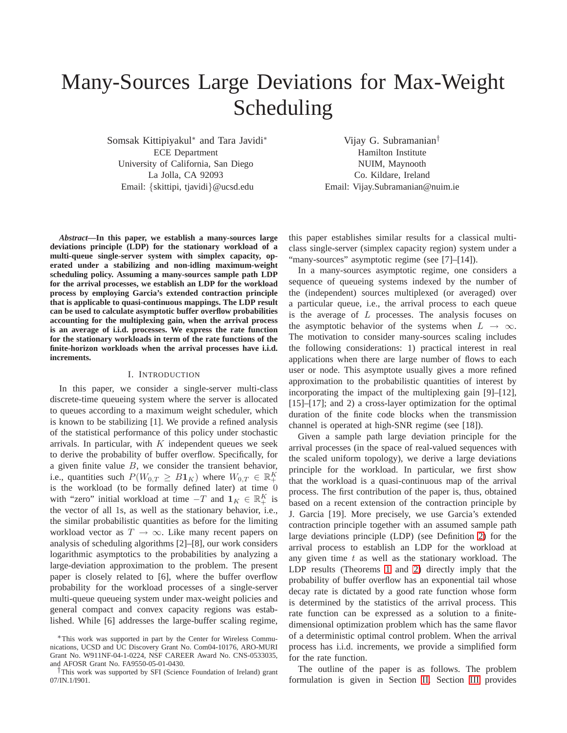# Many-Sources Large Deviations for Max-Weight Scheduling

Somsak Kittipiyakul<sup>∗</sup> and Tara Javidi<sup>∗</sup> ECE Department University of California, San Diego La Jolla, CA 92093 Email: {skittipi, tjavidi}@ucsd.edu

Vijay G. Subramanian† Hamilton Institute NUIM, Maynooth Co. Kildare, Ireland Email: Vijay.Subramanian@nuim.ie

*Abstract***—In this paper, we establish a many-sources large deviations principle (LDP) for the stationary workload of a multi-queue single-server system with simplex capacity, operated under a stabilizing and non-idling maximum-weight scheduling policy. Assuming a many-sources sample path LDP for the arrival processes, we establish an LDP for the workload process by employing Garcia's extended contraction principle that is applicable to quasi-continuous mappings. The LDP result can be used to calculate asymptotic buffer overflow probabilities accounting for the multiplexing gain, when the arrival process is an average of i.i.d. processes. We express the rate function for the stationary workloads in term of the rate functions of the finite-horizon workloads when the arrival processes have i.i.d. increments.**

#### I. INTRODUCTION

In this paper, we consider a single-server multi-class discrete-time queueing system where the server is allocated to queues according to a maximum weight scheduler, which is known to be stabilizing [1]. We provide a refined analysis of the statistical performance of this policy under stochastic arrivals. In particular, with  $K$  independent queues we seek to derive the probability of buffer overflow. Specifically, for a given finite value  $B$ , we consider the transient behavior, i.e., quantities such  $P(W_{0,T} \geq B1_K)$  where  $W_{0,T} \in \mathbb{R}^K_+$ is the workload (to be formally defined later) at time 0 with "zero" initial workload at time  $-T$  and  $\mathbf{1}_K \in \mathbb{R}_+^K$  is the vector of all 1s, as well as the stationary behavior, i.e., the similar probabilistic quantities as before for the limiting workload vector as  $T \to \infty$ . Like many recent papers on analysis of scheduling algorithms [2]–[8], our work considers logarithmic asymptotics to the probabilities by analyzing a large-deviation approximation to the problem. The present paper is closely related to [6], where the buffer overflow probability for the workload processes of a single-server multi-queue queueing system under max-weight policies and general compact and convex capacity regions was established. While [6] addresses the large-buffer scaling regime, this paper establishes similar results for a classical multiclass single-server (simplex capacity region) system under a "many-sources" asymptotic regime (see [7]–[14]).

In a many-sources asymptotic regime, one considers a sequence of queueing systems indexed by the number of the (independent) sources multiplexed (or averaged) over a particular queue, i.e., the arrival process to each queue is the average of L processes. The analysis focuses on the asymptotic behavior of the systems when  $L \rightarrow \infty$ . The motivation to consider many-sources scaling includes the following considerations: 1) practical interest in real applications when there are large number of flows to each user or node. This asymptote usually gives a more refined approximation to the probabilistic quantities of interest by incorporating the impact of the multiplexing gain [9]–[12], [15]–[17]; and 2) a cross-layer optimization for the optimal duration of the finite code blocks when the transmission channel is operated at high-SNR regime (see [18]).

Given a sample path large deviation principle for the arrival processes (in the space of real-valued sequences with the scaled uniform topology), we derive a large deviations principle for the workload. In particular, we first show that the workload is a quasi-continuous map of the arrival process. The first contribution of the paper is, thus, obtained based on a recent extension of the contraction principle by J. Garcia [19]. More precisely, we use Garcia's extended contraction principle together with an assumed sample path large deviations principle (LDP) (see Definition [2\)](#page-2-0) for the arrival process to establish an LDP for the workload at any given time  $t$  as well as the stationary workload. The LDP results (Theorems [1](#page-1-0) and [2\)](#page-2-1) directly imply that the probability of buffer overflow has an exponential tail whose decay rate is dictated by a good rate function whose form is determined by the statistics of the arrival process. This rate function can be expressed as a solution to a finitedimensional optimization problem which has the same flavor of a deterministic optimal control problem. When the arrival process has i.i.d. increments, we provide a simplified form for the rate function.

The outline of the paper is as follows. The problem formulation is given in Section [II.](#page-1-1) Section [III](#page-2-2) provides

<sup>∗</sup>This work was supported in part by the Center for Wireless Communications, UCSD and UC Discovery Grant No. Com04-10176, ARO-MURI Grant No. W911NF-04-1-0224, NSF CAREER Award No. CNS-0533035, and AFOSR Grant No. FA9550-05-01-0430.

<sup>†</sup>This work was supported by SFI (Science Foundation of Ireland) grant 07/IN.1/I901.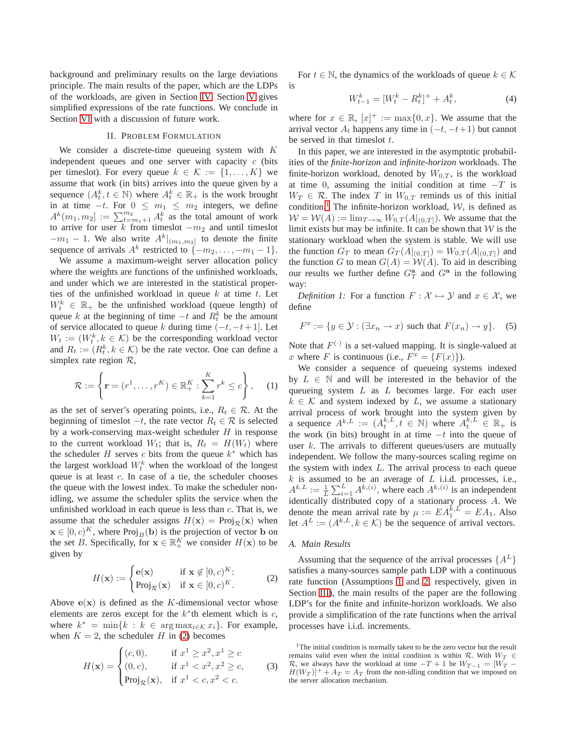background and preliminary results on the large deviations principle. The main results of the paper, which are the LDPs of the workloads, are given in Section [IV.](#page-3-0) Section [V](#page-3-1) gives simplified expressions of the rate functions. We conclude in Section [VI](#page-4-0) with a discussion of future work.

## II. PROBLEM FORMULATION

<span id="page-1-1"></span>We consider a discrete-time queueing system with  $K$ independent queues and one server with capacity  $c$  (bits per timeslot). For every queue  $k \in \mathcal{K} := \{1, \ldots, K\}$  we assume that work (in bits) arrives into the queue given by a sequence  $(A_t^k, t \in \mathbb{N})$  where  $A_t^k \in \mathbb{R}_+$  is the work brought in at time  $-t$ . For  $0 \leq m_1 \leq m_2$  integers, we define  $A^k(m_1, m_2] := \sum_{t=m_1+1}^{m_2} A_t^k$  as the total amount of work to arrive for user k from timeslot  $-m_2$  and until timeslot  $-m_1 - 1$ . We also write  $A^k|_{(m_1,m_2]}$  to denote the finite sequence of arrivals  $A^k$  restricted to  $\{-m_2, \ldots, -m_1-1\}$ .

We assume a maximum-weight server allocation policy where the weights are functions of the unfinished workloads, and under which we are interested in the statistical properties of the unfinished workload in queue  $k$  at time  $t$ . Let  $W_t^k \in \mathbb{R}_+$  be the unfinished workload (queue length) of queue k at the beginning of time  $-t$  and  $R_t^k$  be the amount of service allocated to queue k during time  $(-t, -t+1]$ . Let  $W_t := (W_t^k, k \in \mathcal{K})$  be the corresponding workload vector and  $R_t := (R_t^k, k \in \mathcal{K})$  be the rate vector. One can define a simplex rate region  $\mathcal{R}$ ,

$$
\mathcal{R} := \left\{ \mathbf{r} = (r^1, \dots, r^K) \in \mathbb{R}_+^K : \sum_{k=1}^K r^k \le c \right\}, \quad (1)
$$

as the set of server's operating points, i.e.,  $R_t \in \mathcal{R}$ . At the beginning of timeslot  $-t$ , the rate vector  $R_t \in \mathcal{R}$  is selected by a work-conserving max-weight scheduler  $H$  in response to the current workload  $W_t$ ; that is,  $R_t = H(W_t)$  where the scheduler H serves c bits from the queue  $k^*$  which has the largest workload  $W_t^k$  when the workload of the longest queue is at least c. In case of a tie, the scheduler chooses the queue with the lowest index. To make the scheduler nonidling, we assume the scheduler splits the service when the unfinished workload in each queue is less than  $c$ . That is, we assume that the scheduler assigns  $H(\mathbf{x}) = \text{Proj}_{\mathcal{R}}(\mathbf{x})$  when  $\mathbf{x} \in [0, c)^K$ , where  $\text{Proj}_B(\mathbf{b})$  is the projection of vector **b** on the set B. Specifically, for  $\mathbf{x} \in \mathbb{R}_+^K$  we consider  $H(\mathbf{x})$  to be given by

<span id="page-1-2"></span>
$$
H(\mathbf{x}) := \begin{cases} \mathbf{e}(\mathbf{x}) & \text{if } \mathbf{x} \notin [0, c)^K; \\ \text{Proj}_{\mathcal{R}}(\mathbf{x}) & \text{if } \mathbf{x} \in [0, c)^K. \end{cases}
$$
 (2)

Above  $e(x)$  is defined as the K-dimensional vector whose elements are zeros except for the  $k^*$ th element which is  $c$ , where  $k^* = \min\{k : k \in \arg \max_{i \in \mathcal{K}} x_i\}$ . For example, when  $K = 2$ , the scheduler H in [\(2\)](#page-1-2) becomes

$$
H(\mathbf{x}) = \begin{cases} (c, 0), & \text{if } x^{1} \geq x^{2}, x^{1} \geq c \\ (0, c), & \text{if } x^{1} < x^{2}, x^{2} \geq c, \\ \text{Proj}_{\mathcal{R}}(\mathbf{x}), & \text{if } x^{1} < c, x^{2} < c. \end{cases} \tag{3}
$$

For  $t \in \mathbb{N}$ , the dynamics of the workloads of queue  $k \in \mathcal{K}$ is

$$
W_{t-1}^k = [W_t^k - R_t^k]^+ + A_t^k,\tag{4}
$$

where for  $x \in \mathbb{R}$ ,  $[x]^+ := \max\{0, x\}$ . We assume that the arrival vector  $A_t$  happens any time in  $(-t, -t+1)$  but cannot be served in that times lot  $t$ .

In this paper, we are interested in the asymptotic probabilities of the *finite-horizon* and *infinite-horizon* workloads. The finite-horizon workload, denoted by  $W_{0,T}$ , is the workload at time 0, assuming the initial condition at time  $-T$  is  $W_T \in \mathcal{R}$ . The index T in  $W_{0,T}$  reminds us of this initial condition.<sup>[1](#page-1-3)</sup> The infinite-horizon workload,  $W$ , is defined as  $W = W(A) := \lim_{T \to \infty} W_{0,T}(A|_{(0,T]}).$  We assume that the limit exists but may be infinite. It can be shown that  $W$  is the stationary workload when the system is stable. We will use the function  $G_T$  to mean  $G_T(A|_{(0,T]}) = W_{0,T}(A|_{(0,T]})$  and the function G to mean  $G(A) = W(A)$ . To aid in describing our results we further define  $G_T^{\mathbf{a}}$  and  $G^{\mathbf{a}}$  in the following way:

*Definition 1:* For a function  $F : \mathcal{X} \mapsto \mathcal{Y}$  and  $x \in \mathcal{X}$ , we define

$$
F^x := \{ y \in \mathcal{Y} : (\exists x_n \to x) \text{ such that } F(x_n) \to y \}. \tag{5}
$$

Note that  $F^{(\cdot)}$  is a set-valued mapping. It is single-valued at x where F is continuous (i.e.,  $F^x = \{F(x)\}\.$ 

We consider a sequence of queueing systems indexed by  $L \in \mathbb{N}$  and will be interested in the behavior of the queueing system  $L$  as  $L$  becomes large. For each user  $k \in \mathcal{K}$  and system indexed by L, we assume a stationary arrival process of work brought into the system given by a sequence  $A^{k,L} := (A_t^{k,L}, t \in \mathbb{N})$  where  $A_t^{k,L} \in \mathbb{R}_+$  is the work (in bits) brought in at time  $-t$  into the queue of user  $k$ . The arrivals to different queues/users are mutually independent. We follow the many-sources scaling regime on the system with index  $L$ . The arrival process to each queue  $k$  is assumed to be an average of  $L$  i.i.d. processes, i.e.,  $A^{k,L} := \frac{1}{L} \sum_{i=1}^{L} A^{k,(i)}$ , where each  $A^{k,(i)}$  is an independent identically distributed copy of a stationary process A. We denote the mean arrival rate by  $\mu := EA_1^{k,L} = EA_1$ . Also let  $A^L := (A^{k,L}, k \in \mathcal{K})$  be the sequence of arrival vectors.

#### *A. Main Results*

Assuming that the sequence of the arrival processes  $\{A^L\}$ satisfies a many-sources sample path LDP with a continuous rate function (Assumptions [1](#page-2-3) and [2,](#page-2-4) respectively, given in Section [III\)](#page-2-2), the main results of the paper are the following LDP's for the finite and infinite-horizon workloads. We also provide a simplification of the rate functions when the arrival processes have i.i.d. increments.

<span id="page-1-3"></span><span id="page-1-0"></span><sup>&</sup>lt;sup>1</sup>The initial condition is normally taken to be the zero vector but the result remains valid even when the initial condition is within R. With  $W_T \in$ R, we always have the workload at time  $-T+1$  be  $W_{T-1} = [W_T -1]$  $H(W_T)]^+ + A_T = A_T$  from the non-idling condition that we imposed on the server allocation mechanism.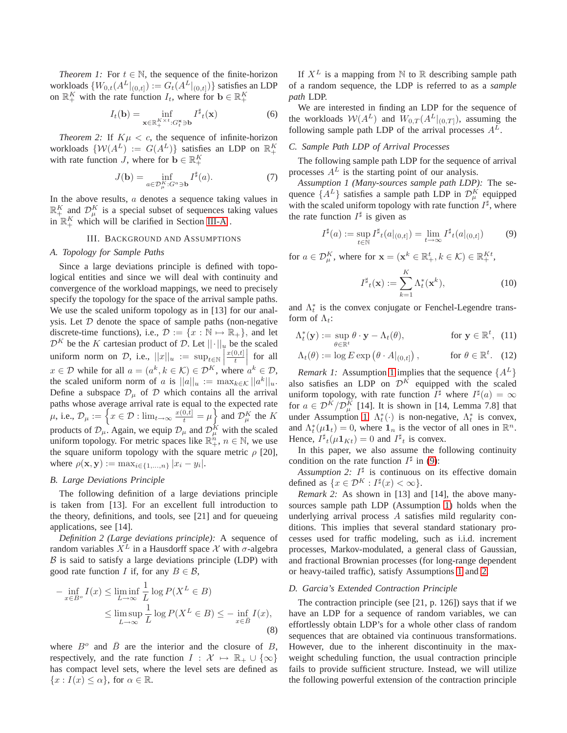*Theorem 1:* For  $t \in \mathbb{N}$ , the sequence of the finite-horizon workloads  $\{W_{0,t}(A^L|_{(0,t]}):= G_t(A^L|_{(0,t]})\}$  satisfies an LDP on  $\mathbb{R}^K_+$  with the rate function  $I_t$ , where for  $\mathbf{b} \in \mathbb{R}^K_+$ 

<span id="page-2-8"></span>
$$
I_t(\mathbf{b}) = \inf_{\mathbf{x} \in \mathbb{R}_+^{K \times t}: G_t^{\mathbf{x}} \ni \mathbf{b}} I^{\sharp}_t(\mathbf{x}) \tag{6}
$$

<span id="page-2-1"></span>*Theorem 2:* If  $K\mu < c$ , the sequence of infinite-horizon workloads  $\{W(A^L) := G(A^L)\}\$  satisfies an LDP on  $\mathbb{R}^K_+$ with rate function *J*, where for  $\mathbf{b} \in \mathbb{R}_+^K$ 

<span id="page-2-7"></span>
$$
J(\mathbf{b}) = \inf_{a \in \mathcal{D}_{\mu}^{K}: G^{a} \ni \mathbf{b}} I^{\sharp}(a). \tag{7}
$$

In the above results,  $a$  denotes a sequence taking values in  $\mathbb{R}^K_+$  and  $\mathcal{D}^K_\mu$  is a special subset of sequences taking values in  $\mathbb{R}_+^K$  which will be clarified in Section [III-A](#page-2-5).

#### III. BACKGROUND AND ASSUMPTIONS

#### <span id="page-2-5"></span><span id="page-2-2"></span>*A. Topology for Sample Paths*

Since a large deviations principle is defined with topological entities and since we will deal with continuity and convergence of the workload mappings, we need to precisely specify the topology for the space of the arrival sample paths. We use the scaled uniform topology as in [13] for our analysis. Let  $D$  denote the space of sample paths (non-negative discrete-time functions), i.e.,  $\mathcal{D} := \{x : \mathbb{N} \mapsto \mathbb{R}_+\}$ , and let  $\mathcal{D}^K$  be the K cartesian product of D. Let  $||\cdot||_u$  be the scaled uniform norm on D, i.e.,  $||x||_u := \sup_{t \in \mathbb{R}} |x||_0$  $x(0,t]$  $\left|\frac{0,t]}{t}\right|$ for all  $x \in \mathcal{D}$  while for all  $a = (a^k, k \in \mathcal{K}) \in \mathcal{D}^K$ , where  $a^k \in \mathcal{D}$ , the scaled uniform norm of a is  $||a||_u := \max_{k \in \mathcal{K}} ||a^k||_u$ . Define a subspace  $\mathcal{D}_{\mu}$  of  $\mathcal D$  which contains all the arrival paths whose average arrival rate is equal to the expected rate  $\mu$ , i.e.,  $\mathcal{D}_{\mu} := \left\{ x \in \mathcal{D} : \lim_{t \to \infty} \frac{x(0,t]}{t} = \mu \right\}$  and  $\mathcal{D}_{\mu}^{K}$  the K products of  $\mathcal{D}_{\mu}$ . Again, we equip  $\mathcal{D}_{\mu}$  and  $\mathcal{D}_{\mu}^{K}$  with the scaled uniform topology. For metric spaces like  $\mathbb{R}_+^n$ ,  $n \in \mathbb{N}$ , we use the square uniform topology with the square metric  $\rho$  [20], where  $\rho(\mathbf{x}, \mathbf{y}) := \max_{i \in \{1, ..., n\}} |x_i - y_i|.$ 

## *B. Large Deviations Principle*

The following definition of a large deviations principle is taken from [13]. For an excellent full introduction to the theory, definitions, and tools, see [21] and for queueing applications, see [14].

<span id="page-2-0"></span>*Definition 2 (Large deviations principle):* A sequence of random variables  $X^L$  in a Hausdorff space X with  $\sigma$ -algebra  $\beta$  is said to satisfy a large deviations principle (LDP) with good rate function I if, for any  $B \in \mathcal{B}$ ,

$$
- \inf_{x \in B^o} I(x) \le \liminf_{L \to \infty} \frac{1}{L} \log P(X^L \in B)
$$
  

$$
\le \limsup_{L \to \infty} \frac{1}{L} \log P(X^L \in B) \le - \inf_{x \in \bar{B}} I(x),
$$
 (8)

where  $B^o$  and  $\overline{B}$  are the interior and the closure of B, respectively, and the rate function  $I : \mathcal{X} \mapsto \mathbb{R}_+ \cup \{\infty\}$ has compact level sets, where the level sets are defined as  ${x : I(x) \leq \alpha}$ , for  $\alpha \in \mathbb{R}$ .

If  $X^L$  is a mapping from N to R describing sample path of a random sequence, the LDP is referred to as a *sample path* LDP.

We are interested in finding an LDP for the sequence of the workloads  $W(A^L)$  and  $W_{0,T}(A^L|_{(0,T)})$ , assuming the following sample path LDP of the arrival processes  $A<sup>L</sup>$ .

## *C. Sample Path LDP of Arrival Processes*

The following sample path LDP for the sequence of arrival processes  $A<sup>L</sup>$  is the starting point of our analysis.

<span id="page-2-3"></span>*Assumption 1 (Many-sources sample path LDP):* The sequence  $\{A^L\}$  satisfies a sample path LDP in  $\mathcal{D}_{\mu}^K$  equipped with the scaled uniform topology with rate function  $I^{\sharp}$ , where the rate function  $I^{\sharp}$  is given as

<span id="page-2-6"></span>
$$
I^{\sharp}(a) := \sup_{t \in \mathbb{N}} I^{\sharp}(a|_{(0,t]}) = \lim_{t \to \infty} I^{\sharp}(a|_{(0,t]}) \tag{9}
$$

for  $a \in \mathcal{D}_{\mu}^K$ , where for  $\mathbf{x} = (\mathbf{x}^k \in \mathbb{R}_+^t, k \in \mathcal{K}) \in \mathbb{R}_+^{Kt}$ ,

<span id="page-2-9"></span>
$$
I^{\sharp}_{t}(\mathbf{x}) := \sum_{k=1}^{K} \Lambda_{t}^{*}(\mathbf{x}^{k}), \qquad (10)
$$

and  $\Lambda_t^*$  is the convex conjugate or Fenchel-Legendre transform of  $\Lambda_t$ :

$$
\Lambda_t^*(\mathbf{y}) := \sup_{\theta \in \mathbb{R}^t} \theta \cdot \mathbf{y} - \Lambda_t(\theta), \qquad \text{for } \mathbf{y} \in \mathbb{R}^t, \tag{11}
$$

$$
\Lambda_t(\theta) := \log E \exp \left( \theta \cdot A|_{(0,t]} \right), \quad \text{for } \theta \in \mathbb{R}^t. \tag{12}
$$

*Remark [1](#page-2-3):* Assumption 1 implies that the sequence  $\{A^L\}$ also satisfies an LDP on  $\mathcal{D}^K$  equipped with the scaled uniform topology, with rate function  $I^{\sharp}$  where  $I^{\sharp}(a) = \infty$ for  $a \in \mathcal{D}^K/\mathcal{D}^K_\mu$  [14]. It is shown in [14, Lemma 7.8] that under Assumption [1,](#page-2-3)  $\Lambda_t^*(\cdot)$  is non-negative,  $\Lambda_t^*$  is convex, and  $\Lambda_t^*(\mu \mathbf{1}_t) = 0$ , where  $\mathbf{1}_n$  is the vector of all ones in  $\mathbb{R}^n$ . Hence,  $I^{\sharp}{}_{t}(\mu \mathbf{1}_{Kt}) = 0$  and  $I^{\sharp}{}_{t}$  is convex.

In this paper, we also assume the following continuity condition on the rate function  $I^{\sharp}$  in [\(9\)](#page-2-6):

<span id="page-2-4"></span>Assumption 2:  $I^{\sharp}$  is continuous on its effective domain defined as  $\{x \in \mathcal{D}^K : I^{\sharp}(x) < \infty\}.$ 

*Remark 2:* As shown in [13] and [14], the above manysources sample path LDP (Assumption [1\)](#page-2-3) holds when the underlying arrival process A satisfies mild regularity conditions. This implies that several standard stationary processes used for traffic modeling, such as i.i.d. increment processes, Markov-modulated, a general class of Gaussian, and fractional Brownian processes (for long-range dependent or heavy-tailed traffic), satisfy Assumptions [1](#page-2-3) and [2.](#page-2-4)

#### *D. Garcia's Extended Contraction Principle*

The contraction principle (see [21, p. 126]) says that if we have an LDP for a sequence of random variables, we can effortlessly obtain LDP's for a whole other class of random sequences that are obtained via continuous transformations. However, due to the inherent discontinuity in the maxweight scheduling function, the usual contraction principle fails to provide sufficient structure. Instead, we will utilize the following powerful extension of the contraction principle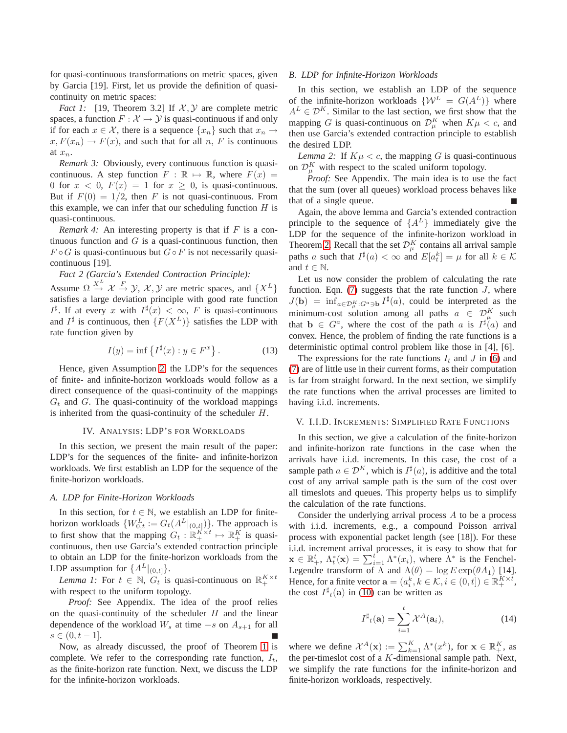for quasi-continuous transformations on metric spaces, given by Garcia [19]. First, let us provide the definition of quasicontinuity on metric spaces:

*Fact 1:* [19, Theorem 3.2] If  $X, Y$  are complete metric spaces, a function  $F : \mathcal{X} \mapsto \mathcal{Y}$  is quasi-continuous if and only if for each  $x \in \mathcal{X}$ , there is a sequence  $\{x_n\}$  such that  $x_n \to$  $x, F(x_n) \to F(x)$ , and such that for all n, F is continuous at  $x_n$ .

*Remark 3:* Obviously, every continuous function is quasicontinuous. A step function  $F : \mathbb{R} \mapsto \mathbb{R}$ , where  $F(x) =$ 0 for  $x < 0$ ,  $F(x) = 1$  for  $x \ge 0$ , is quasi-continuous. But if  $F(0) = 1/2$ , then F is not quasi-continuous. From this example, we can infer that our scheduling function  $H$  is quasi-continuous.

<span id="page-3-4"></span>*Remark 4:* An interesting property is that if F is a continuous function and  $G$  is a quasi-continuous function, then  $F \circ G$  is quasi-continuous but  $G \circ F$  is not necessarily quasicontinuous [19].

*Fact 2 (Garcia's Extended Contraction Principle):* Assume  $\Omega \stackrel{X^L}{\rightarrow} \mathcal{X} \stackrel{F}{\rightarrow} \mathcal{Y}, \mathcal{X}, \mathcal{Y}$  are metric spaces, and  $\{X^L\}$ satisfies a large deviation principle with good rate function  $I^{\sharp}$ . If at every x with  $I^{\sharp}(x) < \infty$ , F is quasi-continuous and  $I^{\sharp}$  is continuous, then  $\{F(X^{L})\}$  satisfies the LDP with rate function given by

$$
I(y) = \inf \left\{ I^{\sharp}(x) : y \in F^x \right\}.
$$
 (13)

Hence, given Assumption [2,](#page-2-4) the LDP's for the sequences of finite- and infinite-horizon workloads would follow as a direct consequence of the quasi-continuity of the mappings  $G_t$  and  $G$ . The quasi-continuity of the workload mappings is inherited from the quasi-continuity of the scheduler H.

#### IV. ANALYSIS: LDP'S FOR WORKLOADS

<span id="page-3-0"></span>In this section, we present the main result of the paper: LDP's for the sequences of the finite- and infinite-horizon workloads. We first establish an LDP for the sequence of the finite-horizon workloads.

## *A. LDP for Finite-Horizon Workloads*

In this section, for  $t \in \mathbb{N}$ , we establish an LDP for finitehorizon workloads  $\{W_{0,t}^L := G_t(A^L|_{(0,t]})\}$ . The approach is to first show that the mapping  $G_t : \mathbb{R}_+^{K \times t} \mapsto \mathbb{R}_+^K$  is quasicontinuous, then use Garcia's extended contraction principle to obtain an LDP for the finite-horizon workloads from the LDP assumption for  $\{A^L|_{(0,t]}\}.$ 

<span id="page-3-3"></span>*Lemma 1:* For  $t \in \mathbb{N}$ ,  $G_t$  is quasi-continuous on  $\mathbb{R}_+^{K \times t}$ with respect to the uniform topology.

*Proof:* See Appendix. The idea of the proof relies on the quasi-continuity of the scheduler  $H$  and the linear dependence of the workload  $W_s$  at time  $-s$  on  $A_{s+1}$  for all  $s \in (0, t-1].$ 

Now, as already discussed, the proof of Theorem [1](#page-1-0) is complete. We refer to the corresponding rate function,  $I_t$ , as the finite-horizon rate function. Next, we discuss the LDP for the infinite-horizon workloads.

## *B. LDP for Infinite-Horizon Workloads*

In this section, we establish an LDP of the sequence of the infinite-horizon workloads  $\{W^L = G(A^L)\}\$  where  $A^L \in \mathcal{D}^K$ . Similar to the last section, we first show that the mapping G is quasi-continuous on  $\mathcal{D}_{\mu}^{K}$  when  $K\mu < c$ , and then use Garcia's extended contraction principle to establish the desired LDP.

<span id="page-3-2"></span>*Lemma 2:* If  $K\mu < c$ , the mapping G is quasi-continuous on  $\mathcal{D}_{\mu}^{K}$  with respect to the scaled uniform topology.

*Proof:* See Appendix. The main idea is to use the fact that the sum (over all queues) workload process behaves like that of a single queue.

Again, the above lemma and Garcia's extended contraction principle to the sequence of  $\{A^L\}$  immediately give the LDP for the sequence of the infinite-horizon workload in Theorem [2.](#page-2-1) Recall that the set  $\mathcal{D}_{\mu}^{K}$  contains all arrival sample paths a such that  $I^{\sharp}(a) < \infty$  and  $E[a_t^k] = \mu$  for all  $k \in \mathcal{K}$ and  $t \in \mathbb{N}$ .

Let us now consider the problem of calculating the rate function. Eqn.  $(7)$  suggests that the rate function  $J$ , where  $J(\mathbf{b}) = \inf_{a \in \mathcal{D}_{\mu}^{K} : G^{a} \ni \mathbf{b}} I^{\sharp}(a)$ , could be interpreted as the minimum-cost solution among all paths  $a \in \mathcal{D}_{\mu}^K$  such that  $\mathbf{b} \in G^a$ , where the cost of the path a is  $I^{\sharp}(a)$  and convex. Hence, the problem of finding the rate functions is a deterministic optimal control problem like those in [4], [6].

The expressions for the rate functions  $I_t$  and  $J$  in [\(6\)](#page-2-8) and [\(7\)](#page-2-7) are of little use in their current forms, as their computation is far from straight forward. In the next section, we simplify the rate functions when the arrival processes are limited to having i.i.d. increments.

#### <span id="page-3-1"></span>V. I.I.D. INCREMENTS: SIMPLIFIED RATE FUNCTIONS

In this section, we give a calculation of the finite-horizon and infinite-horizon rate functions in the case when the arrivals have i.i.d. increments. In this case, the cost of a sample path  $a \in \mathcal{D}^K$ , which is  $I^{\sharp}(a)$ , is additive and the total cost of any arrival sample path is the sum of the cost over all timeslots and queues. This property helps us to simplify the calculation of the rate functions.

Consider the underlying arrival process A to be a process with i.i.d. increments, e.g., a compound Poisson arrival process with exponential packet length (see [18]). For these i.i.d. increment arrival processes, it is easy to show that for  $\mathbf{x} \in \mathbb{R}_+^t$ ,  $\Lambda_t^*(\mathbf{x}) = \sum_{i=1}^t \Lambda^*(x_i)$ , where  $\Lambda^*$  is the Fenchel-Legendre transform of  $\Lambda$  and  $\Lambda(\theta) = \log E \exp(\theta A_1)$  [14]. Hence, for a finite vector  $\mathbf{a} = (a_i^k, k \in \mathcal{K}, i \in (0, t]) \in \mathbb{R}_+^{K \times t}$ , the cost  $I^{\sharp}$ <sub>t</sub>(a) in [\(10\)](#page-2-9) can be written as

$$
I^{\sharp}_{t}(\mathbf{a}) = \sum_{i=1}^{t} \mathcal{X}^{A}(\mathbf{a}_{i}), \qquad (14)
$$

where we define  $\mathcal{X}^A(\mathbf{x}) := \sum_{k=1}^K \Lambda^*(x^k)$ , for  $\mathbf{x} \in \mathbb{R}_+^K$ , as the per-timeslot cost of a K-dimensional sample path. Next, we simplify the rate functions for the infinite-horizon and finite-horizon workloads, respectively.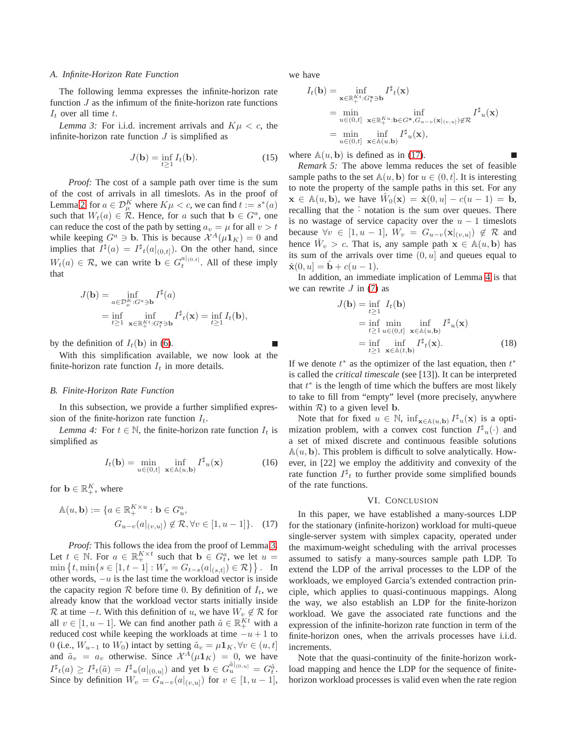#### *A. Infinite-Horizon Rate Function*

The following lemma expresses the infinite-horizon rate function  $J$  as the infimum of the finite-horizon rate functions  $I_t$  over all time t.

<span id="page-4-1"></span>*Lemma 3:* For i.i.d. increment arrivals and  $K\mu < c$ , the infinite-horizon rate function  $J$  is simplified as

$$
J(\mathbf{b}) = \inf_{t \ge 1} I_t(\mathbf{b}).
$$
 (15)

*Proof:* The cost of a sample path over time is the sum of the cost of arrivals in all timeslots. As in the proof of Lemma [2,](#page-3-2) for  $a \in \mathcal{D}_{\mu}^K$  where  $K\mu < c$ , we can find  $t := s^*(a)$ such that  $W_t(a) \in \mathcal{R}$ . Hence, for a such that  $\mathbf{b} \in G^a$ , one can reduce the cost of the path by setting  $a_v = \mu$  for all  $v > t$ while keeping  $G^a \ni \mathbf{b}$ . This is because  $\mathcal{X}^A(\mu \mathbf{1}_K) = 0$  and implies that  $I^{\sharp}(a) = I^{\sharp}(a|_{(0,t]})$ . On the other hand, since  $W_t(a) \in \mathcal{R}$ , we can write  $\mathbf{b} \in G_t^{a|_{(0,t]}}$ . All of these imply that

$$
J(\mathbf{b}) = \inf_{a \in \mathcal{D}_{\mu}^{K}: G^{a} \ni \mathbf{b}} I^{\sharp}(a)
$$
  
= 
$$
\inf_{t \geq 1} \inf_{\mathbf{x} \in \mathbb{R}_{+}^{Kt}: G_{t}^{*} \ni \mathbf{b}} I^{\sharp}( \mathbf{x}) = \inf_{t \geq 1} I_{t}(\mathbf{b}),
$$

by the definition of  $I_t(\mathbf{b})$  in [\(6\)](#page-2-8).

With this simplification available, we now look at the finite-horizon rate function  $I_t$  in more details.

### *B. Finite-Horizon Rate Function*

<span id="page-4-3"></span>In this subsection, we provide a further simplified expression of the finite-horizon rate function  $I_t$ .

*Lemma 4:* For  $t \in \mathbb{N}$ , the finite-horizon rate function  $I_t$  is simplified as

$$
I_t(\mathbf{b}) = \min_{u \in (0,t]} \inf_{\mathbf{x} \in \mathbb{A}(u,\mathbf{b})} I^{\sharp}_u(\mathbf{x}) \tag{16}
$$

for  $\mathbf{b} \in \mathbb{R}_+^K$ , where

$$
\mathbb{A}(u, \mathbf{b}) := \{ a \in \mathbb{R}_+^{K \times u} : \mathbf{b} \in G_u^a,
$$
  

$$
G_{u-v}(a|_{(v,u]}) \notin \mathcal{R}, \forall v \in [1, u-1] \}.
$$
 (17)

*Proof:* This follows the idea from the proof of Lemma [3.](#page-4-1) Let  $t \in \mathbb{N}$ . For  $a \in \mathbb{R}_+^{K \times t}$  such that  $\mathbf{b} \in G_t^a$ , we let  $u =$  $\min \{ t, \min \{ s \in [1, t-1] : W_s = G_{t-s}(a|_{(s,t]}) \in \mathcal{R} \} \}.$  In other words,  $-u$  is the last time the workload vector is inside the capacity region  $R$  before time 0. By definition of  $I_t$ , we already know that the workload vector starts initially inside R at time  $-t$ . With this definition of u, we have  $W_v \notin \mathcal{R}$  for all  $v \in [1, u-1]$ . We can find another path  $\tilde{a} \in \mathbb{R}_+^{Kt}$  with a reduced cost while keeping the workloads at time  $-u+1$  to 0 (i.e.,  $W_{u-1}$  to  $W_0$ ) intact by setting  $\tilde{a}_v = \mu \mathbf{1}_K$ ,  $\forall v \in (u, t]$ and  $\tilde{a}_v = a_v$  otherwise. Since  $\mathcal{X}^A(\mu \mathbf{1}_K) = 0$ , we have  $I^{\sharp}{}_{t}(a) \geq I^{\sharp}{}_{t}(\tilde{a}) = I^{\sharp}{}_{u}(a|_{(0,u]})$  and yet  $\mathbf{b} \in G_{u}^{\tilde{a}|_{(0,u]}} = G_{t}^{\tilde{a}}$ . Since by definition  $W_v = G_{u-v}(a|_{(v,u)})$  for  $v \in [1, u-1]$ , we have

$$
I_t(\mathbf{b}) = \inf_{\mathbf{x} \in \mathbb{R}_+^{K^t}: G_t^{\mathbf{x}} \ni \mathbf{b}} I^{\sharp}{}_{t}(\mathbf{x})
$$
  
\n
$$
= \min_{u \in (0,t]} \inf_{\mathbf{x} \in \mathbb{R}_+^{K^u}: \mathbf{b} \in G^{\mathbf{x}}, G_{u-v}(\mathbf{x}|_{(v,u]}) \notin \mathcal{R}} I^{\sharp}{}_{u}(\mathbf{x})
$$
  
\n
$$
= \min_{u \in (0,t]} \inf_{\mathbf{x} \in \mathbb{A}(u,\mathbf{b})} I^{\sharp}{}_{u}(\mathbf{x}),
$$

where  $\mathbb{A}(u, \mathbf{b})$  is defined as in [\(17\)](#page-4-2).

*Remark 5:* The above lemma reduces the set of feasible sample paths to the set  $\mathbb{A}(u, \mathbf{b})$  for  $u \in (0, t]$ . It is interesting to note the property of the sample paths in this set. For any  $\mathbf{x} \in \mathbb{A}(u, \mathbf{b})$ , we have  $\hat{W}_0(\mathbf{x}) = \hat{\mathbf{x}}(0, u) - c(u - 1) = \hat{\mathbf{b}}$ , recalling that the  $\hat{ }$  notation is the sum over queues. There is no wastage of service capacity over the  $u - 1$  timeslots because  $\forall v \in [1, u - 1], W_v = G_{u-v}(\mathbf{x}|_{(v,u)}) \notin \mathcal{R}$  and hence  $\hat{W}_v > c$ . That is, any sample path  $\mathbf{x} \in \mathbb{A}(u, \mathbf{b})$  has its sum of the arrivals over time  $(0, u]$  and queues equal to  $\hat{\mathbf{x}}(0, u] = \mathbf{b} + c(u - 1).$ 

In addition, an immediate implication of Lemma [4](#page-4-3) is that we can rewrite  $J$  in [\(7\)](#page-2-7) as

$$
J(\mathbf{b}) = \inf_{t \ge 1} I_t(\mathbf{b})
$$
  
=  $\inf_{t \ge 1} \min_{u \in (0,t]} \inf_{\mathbf{x} \in \mathbb{A}(u,\mathbf{b})} I^{\sharp}_{u}(\mathbf{x})$   
=  $\inf_{t \ge 1} \inf_{\mathbf{x} \in \mathbb{A}(t,\mathbf{b})} I^{\sharp}_{t}(\mathbf{x}).$  (18)

If we denote  $t^*$  as the optimizer of the last equation, then  $t^*$ is called the *critical timescale* (see [13]). It can be interpreted that  $t^*$  is the length of time which the buffers are most likely to take to fill from "empty" level (more precisely, anywhere within  $R$ ) to a given level **b**.

Note that for fixed  $u \in \mathbb{N}$ ,  $\inf_{\mathbf{x} \in \mathbb{A}(u,\mathbf{b})} I^{\sharp}_{u}(\mathbf{x})$  is a optimization problem, with a convex cost function  $I^{\sharp}u(\cdot)$  and a set of mixed discrete and continuous feasible solutions  $A(u, b)$ . This problem is difficult to solve analytically. However, in [22] we employ the additivity and convexity of the rate function  $I^{\sharp}$  to further provide some simplified bounds of the rate functions.

#### VI. CONCLUSION

<span id="page-4-2"></span><span id="page-4-0"></span>In this paper, we have established a many-sources LDP for the stationary (infinite-horizon) workload for multi-queue single-server system with simplex capacity, operated under the maximum-weight scheduling with the arrival processes assumed to satisfy a many-sources sample path LDP. To extend the LDP of the arrival processes to the LDP of the workloads, we employed Garcia's extended contraction principle, which applies to quasi-continuous mappings. Along the way, we also establish an LDP for the finite-horizon workload. We gave the associated rate functions and the expression of the infinite-horizon rate function in term of the finite-horizon ones, when the arrivals processes have i.i.d. increments.

Note that the quasi-continuity of the finite-horizon workload mapping and hence the LDP for the sequence of finitehorizon workload processes is valid even when the rate region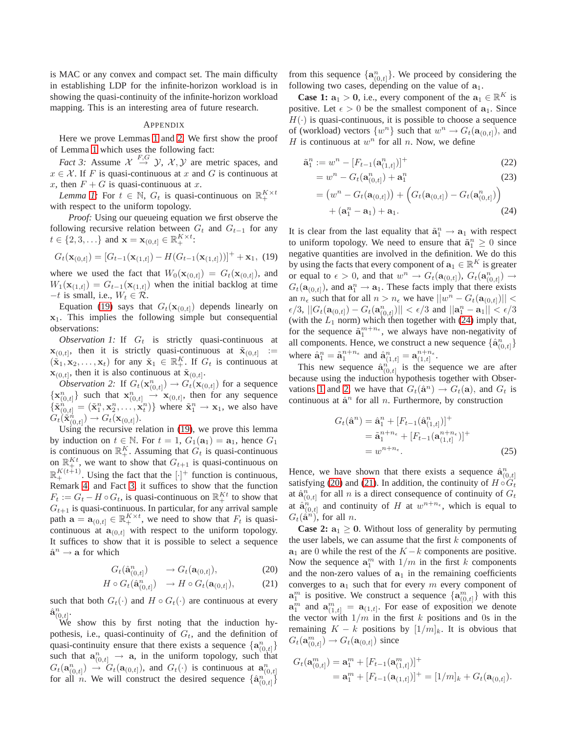is MAC or any convex and compact set. The main difficulty in establishing LDP for the infinite-horizon workload is in showing the quasi-continuity of the infinite-horizon workload mapping. This is an interesting area of future research.

#### APPENDIX

<span id="page-5-1"></span>Here we prove Lemmas [1](#page-3-3) and [2.](#page-3-2) We first show the proof of Lemma [1](#page-3-3) which uses the following fact:

*Fact 3:* Assume  $\mathcal{X} \stackrel{F,G}{\rightarrow} \mathcal{Y}, \mathcal{X}, \mathcal{Y}$  are metric spaces, and  $x \in \mathcal{X}$ . If F is quasi-continuous at x and G is continuous at x, then  $F + G$  is quasi-continuous at x.

*Lemma* [1:](#page-3-3) For  $t \in \mathbb{N}$ ,  $G_t$  is quasi-continuous on  $\mathbb{R}_+^{K \times t}$ with respect to the uniform topology.

*Proof:* Using our queueing equation we first observe the following recursive relation between  $G_t$  and  $G_{t-1}$  for any  $t \in \{2, 3, \ldots\}$  and  $\mathbf{x} = \mathbf{x}_{(0,t]} \in \mathbb{R}_+^{K \times t}$ :

<span id="page-5-0"></span>
$$
G_t(\mathbf{x}_{(0,t]}) = [G_{t-1}(\mathbf{x}_{(1,t]}) - H(G_{t-1}(\mathbf{x}_{(1,t]}))]^+ + \mathbf{x}_1, (19)
$$

where we used the fact that  $W_0(\mathbf{x}_{(0,t]}) = G_t(\mathbf{x}_{(0,t]})$ , and  $W_1(\mathbf{x}_{(1,t]}) = G_{t-1}(\mathbf{x}_{(1,t]})$  when the initial backlog at time  $-t$  is small, i.e.,  $W_t \in \mathcal{R}$ .

Equation [\(19\)](#page-5-0) says that  $G_t(\mathbf{x}_{(0,t)})$  depends linearly on  $x_1$ . This implies the following simple but consequential observations:

<span id="page-5-3"></span>*Observation 1:* If  $G_t$  is strictly quasi-continuous at  $\mathbf{x}_{(0,t]}$ , then it is strictly quasi-continuous at  $\tilde{\mathbf{x}}_{(0,t]}$ :=  $(\tilde{\mathbf{x}}_1, \mathbf{x}_2, \dots, \mathbf{x}_t)$  for any  $\tilde{\mathbf{x}}_1 \in \mathbb{R}_+^K$ . If  $G_t$  is continuous at  $\mathbf{x}_{(0,t]}$ , then it is also continuous at  $\tilde{\mathbf{x}}_{(0,t]}$ .

<span id="page-5-4"></span>*Observation 2:* If  $G_t(\mathbf{x}_{(0,t]}^n) \to G_t(\mathbf{x}_{(0,t]})$  for a sequence  $\{x_{(0,t]}^n\}$  such that  $x_{(0,t]}^n \rightarrow x_{(0,t]}$ , then for any sequence  $\{\tilde{\mathbf{x}}_{(0,t]}^n = (\tilde{\mathbf{x}}_1^n, \mathbf{x}_2^n, \dots, \mathbf{x}_t^n)\}$  where  $\tilde{\mathbf{x}}_1^n \to \mathbf{x}_1$ , we also have  $G_t(\tilde{\mathbf{x}}_{(0,t]}^n) \rightarrow G_t(\mathbf{x}_{(0,t]}).$ 

Using the recursive relation in [\(19\)](#page-5-0), we prove this lemma by induction on  $t \in \mathbb{N}$ . For  $t = 1$ ,  $G_1(\mathbf{a}_1) = \mathbf{a}_1$ , hence  $G_1$ is continuous on  $\mathbb{R}_+^K$ . Assuming that  $G_t$  is quasi-continuous on  $\mathbb{R}_{+}^{Kt}$ , we want to show that  $G_{t+1}$  is quasi-continuous on  $\mathbb{R}^{K(t+1)}_+$ . Using the fact that the  $[\cdot]^+$  function is continuous, Remark [4,](#page-3-4) and Fact [3,](#page-5-1) it suffices to show that the function  $F_t := G_t - H \circ G_t$ , is quasi-continuous on  $\mathbb{R}^{Kt}_+$  to show that  $G_{t+1}$  is quasi-continuous. In particular, for any arrival sample path  $\mathbf{a} = \mathbf{a}_{(0,t]} \in \mathbb{R}_+^{K \times t}$ , we need to show that  $F_t$  is quasicontinuous at  $\mathbf{a}_{(0,t]}$  with respect to the uniform topology. It suffices to show that it is possible to select a sequence  $\hat{\mathbf{a}}^n \to \mathbf{a}$  for which

<span id="page-5-5"></span>
$$
G_t(\hat{\mathbf{a}}_{(0,t]}^n) \qquad \to G_t(\mathbf{a}_{(0,t]}),\tag{20}
$$

$$
H \circ G_t(\hat{\mathbf{a}}_{(0,t]}^n) \longrightarrow H \circ G_t(\mathbf{a}_{(0,t]}), \tag{21}
$$

such that both  $G_t(\cdot)$  and  $H \circ G_t(\cdot)$  are continuous at every  $\hat{\mathbf{a}}_{(0,t]}^n$ .

We show this by first noting that the induction hypothesis, i.e., quasi-continuity of  $G_t$ , and the definition of quasi-continuity ensure that there exists a sequence  $\{a_{(0,t]}^n\}$ such that  $\mathbf{a}_{(0,t]}^n \rightarrow \mathbf{a}$ , in the uniform topology, such that  $G_t(\mathbf{a}_{(0,t]}^n) \rightarrow G_t(\mathbf{a}_{(0,t]}),$  and  $G_t(\cdot)$  is continuous at  $\mathbf{a}_{(0,t]}^n$ for all *n*. We will construct the desired sequence  $\{\hat{a}_{(0,t)}^n\}$ 

from this sequence  $\{a_{(0,t]}^n\}$ . We proceed by considering the following two cases, depending on the value of  $a_1$ .

**Case 1:**  $a_1 > 0$ , i.e., every component of the  $a_1 \in \mathbb{R}^K$  is positive. Let  $\epsilon > 0$  be the smallest component of  $a_1$ . Since  $H(\cdot)$  is quasi-continuous, it is possible to choose a sequence of (workload) vectors  $\{w^n\}$  such that  $w^n \to G_t(\mathbf{a}_{(0,t]})$ , and H is continuous at  $w^n$  for all n. Now, we define

$$
\tilde{\mathbf{a}}_1^n := w^n - [F_{t-1}(\mathbf{a}_{(1,t)}^n)]^+\tag{22}
$$

$$
= wn - Gt(\mathbf{a}_{(0,t]}n) + \mathbf{a}_1n
$$
 (23)

<span id="page-5-2"></span>
$$
= (wn - Gt(a(0,t])) + (Gt(a(0,t]) - Gt(a(0,t]n)+ (a1n - a1) + a1. (24)
$$

It is clear from the last equality that  $\tilde{a}_1^n \rightarrow a_1$  with respect to uniform topology. We need to ensure that  $\tilde{\mathbf{a}}_1^n \geq 0$  since negative quantities are involved in the definition. We do this by using the facts that every component of  $\mathbf{a}_1 \in \mathbb{R}^K$  is greater or equal to  $\epsilon > 0$ , and that  $w^n \to G_t(\mathbf{a}_{(0,t]})$ ,  $G_t(\mathbf{a}_{(0,t]}^n) \to$  $G_t(\mathbf{a}_{(0,t]})$ , and  $\mathbf{a}_1^n \to \mathbf{a}_1$ . These facts imply that there exists an  $n_{\epsilon}$  such that for all  $n > n_{\epsilon}$  we have  $||w^n - G_t(\mathbf{a}_{(0,t]})|| <$  $\epsilon/3, \, ||G_t(\mathbf{a}_{(0,t]}) - G_t(\mathbf{a}_{(0,t]}^n) || < \epsilon/3 \, \text{ and } \, ||\mathbf{a}_1^n - \mathbf{a}_1 || < \epsilon/3$ (with the  $L_1$  norm) which then together with [\(24\)](#page-5-2) imply that, for the sequence  $\tilde{a}_1^{m+n_\epsilon}$ , we always have non-negativity of all components. Hence, we construct a new sequence  $\{\hat{\mathbf{a}}_{(0,t]}^n\}$ where  $\hat{\mathbf{a}}_1^n = \tilde{\mathbf{a}}_1^{n+n_{\epsilon}}$  and  $\hat{\mathbf{a}}_{(1,t]}^n = \mathbf{a}_{(1,t]}^{n+n_{\epsilon}}$ .

This new sequence  $\hat{a}_{(0,t]}^{n}$  is the sequence we are after because using the induction hypothesis together with Obser-vations [1](#page-5-3) and [2,](#page-5-4) we have that  $G_t(\hat{\mathbf{a}}^n) \to G_t(\mathbf{a})$ , and  $G_t$  is continuous at  $\hat{\mathbf{a}}^n$  for all *n*. Furthermore, by construction

$$
G_t(\hat{\mathbf{a}}^n) = \hat{\mathbf{a}}_1^n + [F_{t-1}(\hat{\mathbf{a}}_{(1,t]}^n)]^+
$$
  
=  $\tilde{\mathbf{a}}_1^{n+n_{\epsilon}} + [F_{t-1}(\mathbf{a}_{(1,t]}^{n+n_{\epsilon}})]^+$   
=  $w^{n+n_{\epsilon}}$ . (25)

Hence, we have shown that there exists a sequence  $\hat{a}^n_{(0,t]}$ satisfying [\(20\)](#page-5-5) and [\(21\)](#page-5-5). In addition, the continuity of  $H \circ G_t$ at  $\hat{\mathbf{a}}_{(0,t]}^n$  for all n is a direct consequence of continuity of  $G_t$ at  $\hat{a}_{(0,t]}^{n}$  and continuity of H at  $w^{n+n_{\epsilon}}$ , which is equal to  $G_t(\hat{\mathbf{a}}^{n})$ , for all n.

**Case 2:**  $a_1 \geq 0$ . Without loss of generality by permuting the user labels, we can assume that the first  $k$  components of  $a_1$  are 0 while the rest of the  $K - k$  components are positive. Now the sequence  $\mathbf{a}_1^m$  with  $1/m$  in the first k components and the non-zero values of  $a_1$  in the remaining coefficients converges to  $a_1$  such that for every m every component of  $\mathbf{a}_1^m$  is positive. We construct a sequence  $\{\mathbf{a}_{(0,t)}^m\}$  with this  $\mathbf{a}_1^m$  and  $\mathbf{a}_{(1,t]}^m = \mathbf{a}_{(1,t]}$ . For ease of exposition we denote the vector with  $1/m$  in the first k positions and 0s in the remaining  $K - k$  positions by  $[1/m]_k$ . It is obvious that  $G_t(\mathbf{a}_{(0,t]}^m) \rightarrow G_t(\mathbf{a}_{(0,t]})$  since

$$
G_t(\mathbf{a}_{(0,t]}^m) = \mathbf{a}_1^m + [F_{t-1}(\mathbf{a}_{(1,t]}^m)]^+
$$
  
=  $\mathbf{a}_1^m + [F_{t-1}(\mathbf{a}_{(1,t]})]^+ = [1/m]_k + G_t(\mathbf{a}_{(0,t]}).$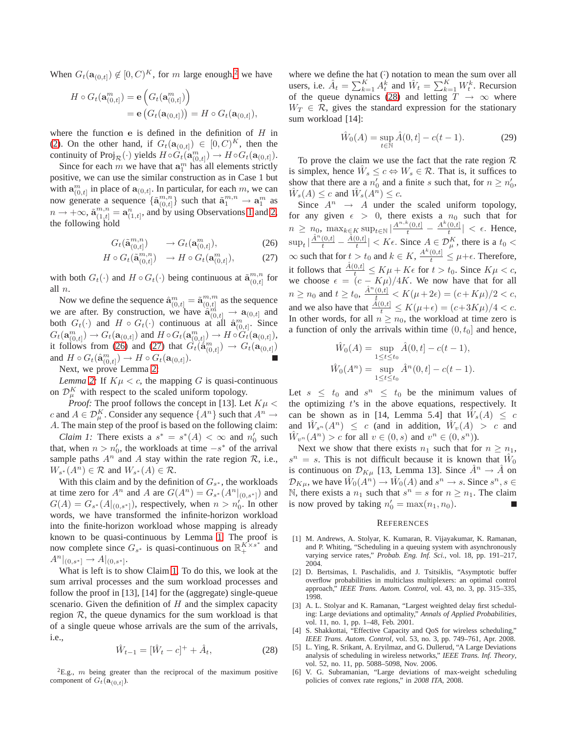When  $G_t(\mathbf{a}_{(0,t]}) \notin [0, C)^K$ , for m large enough,<sup>[2](#page-6-0)</sup> we have

$$
H \circ G_t(\mathbf{a}_{(0,t]}^m) = \mathbf{e}\left(G_t(\mathbf{a}_{(0,t]}^m)\right)
$$
  
= 
$$
\mathbf{e}\left(G_t(\mathbf{a}_{(0,t]})\right) = H \circ G_t(\mathbf{a}_{(0,t]}),
$$

where the function  $e$  is defined in the definition of  $H$  in [\(2\)](#page-1-2). On the other hand, if  $G_t(\mathbf{a}_{(0,t]}) \in [0, C)^K$ , then the continuity of Proj $_{\mathcal{R}}(\cdot)$  yields  $H \circ \hat{G}_t(\mathbf{a}_{(0,t]}^m) \to H \circ G_t(\mathbf{a}_{(0,t]}^m)$ .

Since for each m we have that  $a_1^m$  has all elements strictly positive, we can use the similar construction as in Case 1 but with  $\mathbf{a}_{(0,t]}^m$  in place of  $\mathbf{a}_{(0,t]}$ . In particular, for each m, we can now generate a sequence  $\{\tilde{\mathbf{a}}_{(0)}^{m,n}$  ${m,n \choose 0,t}$  such that  $\tilde{\mathbf{a}}_1^{m,n} \to \mathbf{a}_1^m$  as  $n \to +\infty$ ,  $\tilde{\mathbf{a}}_{(1,t]}^{m,n} = \mathbf{a}_{(1,t]}^n$ , and by using Observations [1](#page-5-3) and [2,](#page-5-4) the following hold

<span id="page-6-1"></span>
$$
G_t(\tilde{\mathbf{a}}_{(0,t]}^{m,n}) \qquad \to G_t(\mathbf{a}_{(0,t]}^m), \tag{26}
$$

$$
H \circ G_t(\tilde{\mathbf{a}}_{(0,t]}^{m,n}) \to H \circ G_t(\mathbf{a}_{(0,t]}^m), \tag{27}
$$

with both  $G_t(\cdot)$  and  $H \circ G_t(\cdot)$  being continuous at  $\tilde{\mathbf{a}}_{(0,t]}^{m,n}$  $\ _{(0,t]}^{m,n}$  for all n.

Now we define the sequence  $\hat{\mathbf{a}}_{(0,t]}^m = \tilde{\mathbf{a}}_{(0,t]}^{m,m}$  $_{(0,t]}^{m,m}$  as the sequence we are after. By construction, we have  $\ddot{a}_{(0,t]}^{m} \rightarrow a_{(0,t]}$  and both  $G_t(\cdot)$  and  $H \circ G_t(\cdot)$  continuous at all  $\hat{\mathbf{a}}_{(0,t]}^m$ . Since  $G_t(\mathbf{a}_{(0,t]}^m) \rightarrow G_t(\mathbf{a}_{(0,t]})$  and  $H \circ G_t(\mathbf{a}_{(0,t]}^m) \rightarrow H \circ \widetilde{G}_t(\mathbf{a}_{(0,t]}),$ it follows from [\(26\)](#page-6-1) and [\(27\)](#page-6-1) that  $G_t(\dot{a}_{(0,t]}^m) \rightarrow G_t(\mathbf{a}_{(0,t]})$ and  $H \circ G_t(\hat{\mathbf{a}}_{(0,t]}^m) \to H \circ G_t(\mathbf{a}_{(0,t]}).$ 

Next, we prove Lemma [2:](#page-3-2)

*Lemma* [2:](#page-3-2) If  $K\mu < c$ , the mapping G is quasi-continuous on  $\mathcal{D}_{\mu}^{K}$  with respect to the scaled uniform topology.

*Proof:* The proof follows the concept in [13]. Let  $K\mu$  < c and  $A \in \mathcal{D}_{\mu}^K$ . Consider any sequence  $\{A^n\}$  such that  $A^n \to$ A. The main step of the proof is based on the following claim:

<span id="page-6-2"></span>*Claim 1:* There exists a  $s^* = s^*(A) < \infty$  and  $n'_0$  such that, when  $n > n'_0$ , the workloads at time  $-s^*$  of the arrival sample paths  $A^n$  and A stay within the rate region  $\mathcal{R}$ , i.e.,  $W_{s^*}(A^n) \in \mathcal{R}$  and  $W_{s^*}(A) \in \mathcal{R}$ .

With this claim and by the definition of  $G_{s^*}$ , the workloads at time zero for  $A^n$  and A are  $G(A^n) = G_{s^*}(A^n|_{(0,s^*)})$  and  $G(A) = G_{s^*}(A|_{(0,s^*]})$ , respectively, when  $n > n'_0$ . In other words, we have transformed the infinite-horizon workload into the finite-horizon workload whose mapping is already known to be quasi-continuous by Lemma [1.](#page-3-3) The proof is now complete since  $G_{s^*}$  is quasi-continuous on  $\mathbb{R}^{K \times s^*}_{+}$  and  $A^n|_{(0,s^*]} \to A|_{(0,s^*]}$ .

What is left is to show Claim [1.](#page-6-2) To do this, we look at the sum arrival processes and the sum workload processes and follow the proof in [13], [14] for the (aggregate) single-queue scenario. Given the definition of  $H$  and the simplex capacity region  $R$ , the queue dynamics for the sum workload is that of a single queue whose arrivals are the sum of the arrivals, i.e.,

<span id="page-6-3"></span>
$$
\hat{W}_{t-1} = [\hat{W}_t - c]^+ + \hat{A}_t, \tag{28}
$$

<span id="page-6-0"></span> ${}^{2}E.g.,$  m being greater than the reciprocal of the maximum positive component of  $G_t(\mathbf{a}_{(0,t]})$ .

where we define the hat  $(\hat{\cdot})$  notation to mean the sum over all users, i.e.  $\hat{A}_t = \sum_{k=1}^K A_t^k$  and  $\hat{W}_t = \sum_{k=1}^K W_t^k$ . Recursion of the queue dynamics [\(28\)](#page-6-3) and letting  $T \rightarrow \infty$  where  $W_T \in \mathcal{R}$ , gives the standard expression for the stationary sum workload [14]:

$$
\hat{W}_0(A) = \sup_{t \in \mathbb{N}} \hat{A}(0, t] - c(t - 1).
$$
 (29)

To prove the claim we use the fact that the rate region  $\mathcal R$ is simplex, hence  $\hat{W}_s \leq c \Leftrightarrow W_s \in \mathcal{R}$ . That is, it suffices to show that there are a  $n'_0$  and a finite s such that, for  $n \geq n'_0$ ,  $\hat{W}_s(A) \leq c$  and  $\hat{W}_s(A^n) \leq c$ .

Since  $A^n \rightarrow A$  under the scaled uniform topology, for any given  $\epsilon > 0$ , there exists a  $n_0$  such that for  $n \geq n_0$ ,  $\max_{k \in K} \sup_{t \in \mathbb{N}} |\frac{A^{n,k}(0,t]}{t} - \frac{A^k(0,t]}{t}]$  $\left| \frac{(0, t)}{t} \right| < \epsilon$ . Hence,  $\sup_t |\frac{\hat{A}^n(0,t]}{t} - \frac{\hat{A}(0,t]}{t}$  $\left|\frac{0,t]}{t}\right| < K\epsilon$ . Since  $A \in \mathcal{D}_{\mu}^K$ , there is a  $t_0 <$  $\infty$  such that for  $t > t_0$  and  $k \in K$ ,  $\frac{A^k(0,t]}{t} \leq \mu + \epsilon$ . Therefore, it follows that  $\frac{\hat{A}(0,t)}{t} \leq K\mu + K\epsilon$  for  $t > t_0$ . Since  $K\mu < c$ , we choose  $\epsilon = (c - K\mu)/4K$ . We now have that for all  $n \ge n_0$  and  $t \ge t_0$ ,  $\frac{\hat{A}^n(0,t]}{t} < K(\mu + 2\epsilon) = (c + K\mu)/2 < c$ , and we also have that  $\frac{\hat{A}(0,t)}{t} \le K(\mu+\epsilon) = (c+3K\mu)/4 < c$ . In other words, for all  $n \geq n_0$ , the workload at time zero is a function of only the arrivals within time  $(0, t_0]$  and hence,

$$
\hat{W}_0(A) = \sup_{1 \le t \le t_0} \hat{A}(0, t] - c(t - 1),
$$
  

$$
\hat{W}_0(A^n) = \sup_{1 \le t \le t_0} \hat{A}^n(0, t] - c(t - 1).
$$

Let  $s \leq t_0$  and  $s^n \leq t_0$  be the minimum values of the optimizing  $t$ 's in the above equations, respectively. It can be shown as in [14, Lemma 5.4] that  $\hat{W}_s(A) \leq c$ and  $\hat{W}_{s^n}(A^n) \leq c$  (and in addition,  $\hat{W}_v(A) > c$  and  $\hat{W}_{v^n}(A^n) > c$  for all  $v \in (0, s)$  and  $v^n \in (0, s^n)$ ).

Next we show that there exists  $n_1$  such that for  $n \geq n_1$ ,  $s^n = s$ . This is not difficult because it is known that  $\hat{W}_0$ is continuous on  $\mathcal{D}_{K\mu}$  [13, Lemma 13]. Since  $\hat{A}^n \to \hat{A}$  on  $\mathcal{D}_{K\mu}$ , we have  $\hat{W}_0(A^n) \to \hat{W}_0(A)$  and  $s^n \to s$ . Since  $s^n, s \in$ N, there exists a  $n_1$  such that  $s^n = s$  for  $n \geq n_1$ . The claim is now proved by taking  $n'_0 = \max(n_1, n_0)$ .

#### **REFERENCES**

- [1] M. Andrews, A. Stolyar, K. Kumaran, R. Vijayakumar, K. Ramanan, and P. Whiting, "Scheduling in a queuing system with asynchronously varying service rates," *Probab. Eng. Inf. Sci.*, vol. 18, pp. 191–217, 2004.
- [2] D. Bertsimas, I. Paschalidis, and J. Tsitsiklis, "Asymptotic buffer overflow probabilities in multiclass multiplexers: an optimal control approach," *IEEE Trans. Autom. Control*, vol. 43, no. 3, pp. 315–335, 1998.
- [3] A. L. Stolyar and K. Ramanan, "Largest weighted delay first scheduling: Large deviations and optimality," *Annals of Applied Probabilities*, vol. 11, no. 1, pp. 1–48, Feb. 2001.
- S. Shakkottai, "Effective Capacity and QoS for wireless scheduling," *IEEE Trans. Autom. Control*, vol. 53, no. 3, pp. 749–761, Apr. 2008.
- [5] L. Ying, R. Srikant, A. Eryilmaz, and G. Dullerud, "A Large Deviations analysis of scheduling in wireless networks," *IEEE Trans. Inf. Theory*, vol. 52, no. 11, pp. 5088–5098, Nov. 2006.
- [6] V. G. Subramanian, "Large deviations of max-weight scheduling policies of convex rate regions," in *2008 ITA*, 2008.